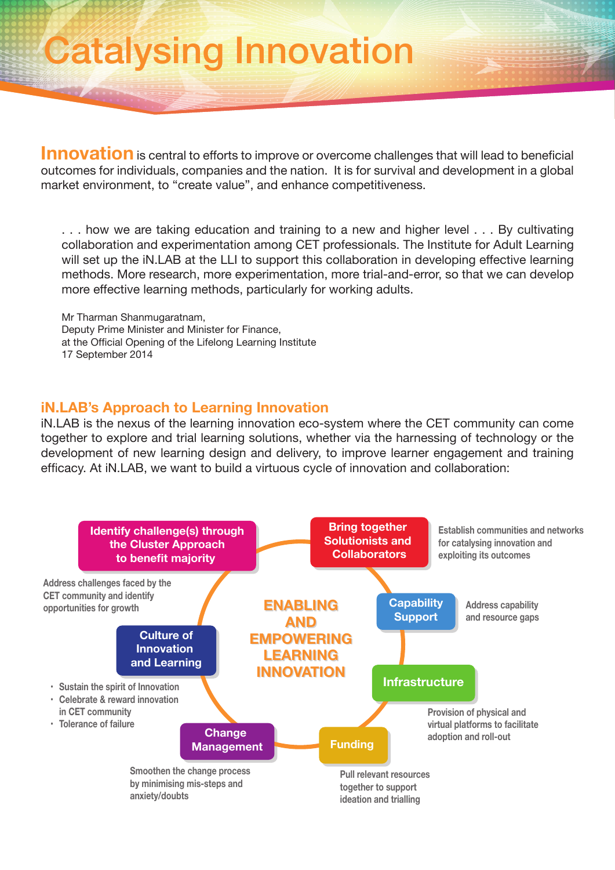## Catalysing Innovation

**Innovation** is central to efforts to improve or overcome challenges that will lead to beneficial outcomes for individuals, companies and the nation. It is for survival and development in a global market environment, to "create value", and enhance competitiveness.

. . . how we are taking education and training to a new and higher level . . . By cultivating collaboration and experimentation among CET professionals. The Institute for Adult Learning will set up the iN.LAB at the LLI to support this collaboration in developing effective learning methods. More research, more experimentation, more trial-and-error, so that we can develop more effective learning methods, particularly for working adults.

Mr Tharman Shanmugaratnam, Deputy Prime Minister and Minister for Finance, at the Official Opening of the Lifelong Learning Institute 17 September 2014

## **iN.LAB's Approach to Learning Innovation**

iN.LAB is the nexus of the learning innovation eco-system where the CET community can come together to explore and trial learning solutions, whether via the harnessing of technology or the development of new learning design and delivery, to improve learner engagement and training efficacy. At iN.LAB, we want to build a virtuous cycle of innovation and collaboration: